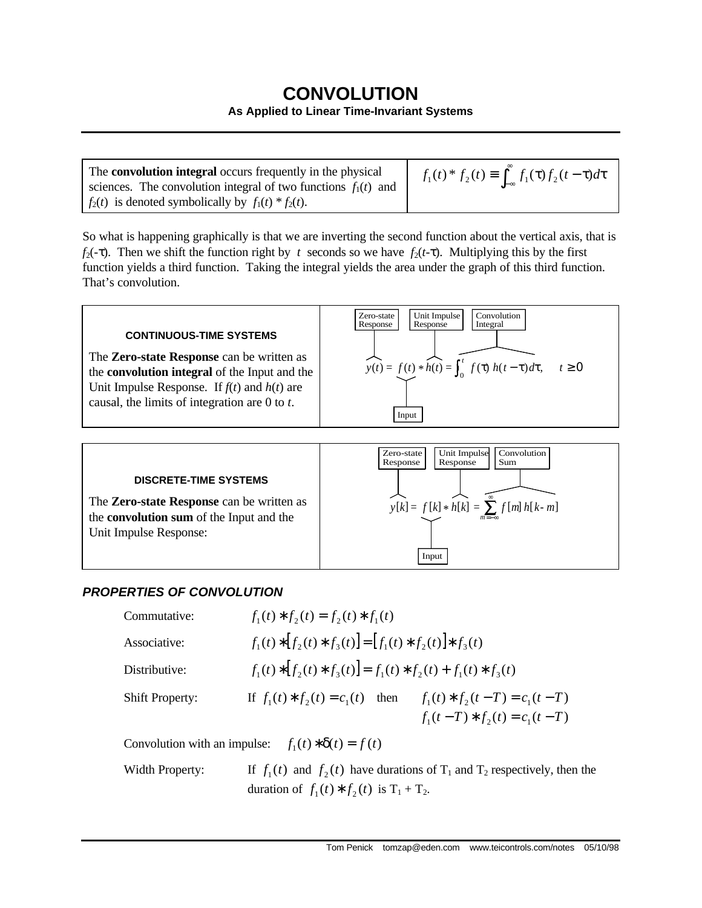## **CONVOLUTION**

## **As Applied to Linear Time-Invariant Systems**

The **convolution integral** occurs frequently in the physical sciences. The convolution integral of two functions  $f_1(t)$  and  $f_2(t)$  is denoted symbolically by  $f_1(t) * f_2(t)$ . ∫ື *f*<sub>1</sub>(*t*) \* *f*<sub>2</sub>(*t*) ≡  $\int_{-\infty}^{x} f_1(\tau) f_2(t-\tau) d\tau$ 

So what is happening graphically is that we are inverting the second function about the vertical axis, that is *f*<sub>2</sub>(-τ). Then we shift the function right by *t* seconds so we have *f*<sub>2</sub>(*t*-τ). Multiplying this by the first function yields a third function. Taking the integral yields the area under the graph of this third function. That's convolution.





## *PROPERTIES OF CONVOLUTION*

| Commutative:                                             | $f_1(t) * f_2(t) = f_2(t) * f_1(t)$                                                                                                 |                                |  |  |  |
|----------------------------------------------------------|-------------------------------------------------------------------------------------------------------------------------------------|--------------------------------|--|--|--|
| Associative:                                             | $f_1(t) * [f_2(t) * f_3(t)] = [f_1(t) * f_2(t)] * f_3(t)$                                                                           |                                |  |  |  |
| Distributive:                                            | $f_1(t) * [f_2(t) * f_3(t)] = f_1(t) * f_2(t) + f_1(t) * f_3(t)$                                                                    |                                |  |  |  |
| <b>Shift Property:</b>                                   | If $f_1(t) * f_2(t) = c_1(t)$ then $f_1(t) * f_2(t-T) = c_1(t-T)$                                                                   | $f_1(t-T) * f_2(t) = c_1(t-T)$ |  |  |  |
| Convolution with an impulse: $f_1(t) * \delta(t) = f(t)$ |                                                                                                                                     |                                |  |  |  |
| Width Property:                                          | If $f_1(t)$ and $f_2(t)$ have durations of $T_1$ and $T_2$ respectively, then the<br>duration of $f_1(t) * f_2(t)$ is $T_1 + T_2$ . |                                |  |  |  |